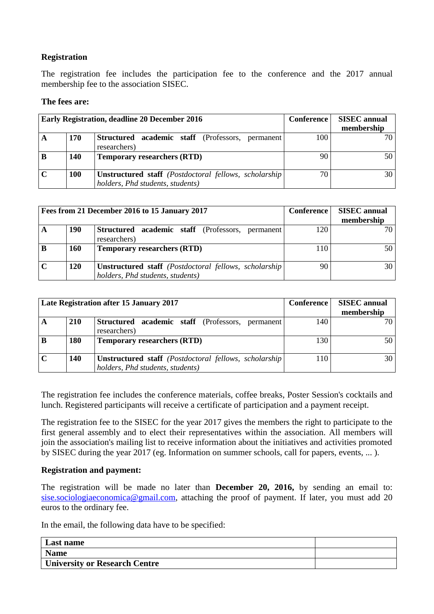## **Registration**

The registration fee includes the participation fee to the conference and the 2017 annual membership fee to the association SISEC.

#### **The fees are:**

| <b>Early Registration, deadline 20 December 2016</b> |     |                                                                                                            | Conference | <b>SISEC</b> annual<br>membership |
|------------------------------------------------------|-----|------------------------------------------------------------------------------------------------------------|------------|-----------------------------------|
| A                                                    | 170 | <b>Structured</b> academic staff (Professors,<br>permanent<br>researchers)                                 | 100        | 70                                |
| B                                                    | 140 | <b>Temporary researchers (RTD)</b>                                                                         | 90         | 50                                |
|                                                      | 100 | <b>Unstructured staff</b> ( <i>Postdoctoral fellows, scholarship</i> )<br>holders, Phd students, students) | 70.        | 30                                |

| Fees from 21 December 2016 to 15 January 2017 |            |                                                                                                            | <b>Conference</b> | <b>SISEC</b> annual |
|-----------------------------------------------|------------|------------------------------------------------------------------------------------------------------------|-------------------|---------------------|
|                                               |            |                                                                                                            |                   | membership          |
| A                                             | 190        | <b>Structured</b> academic staff (Professors,<br>permanent  <br>researchers)                               | 120               | 70 <sub>1</sub>     |
| B                                             | <b>160</b> | <b>Temporary researchers (RTD)</b>                                                                         | <b>110</b>        | 50                  |
|                                               | 120        | <b>Unstructured staff</b> ( <i>Postdoctoral fellows, scholarship</i> )<br>holders, Phd students, students) | 90                | 30                  |

| Late Registration after 15 January 2017 |            |                                                                                                            | <b>Conference</b> | <b>SISEC</b> annual<br>membership |
|-----------------------------------------|------------|------------------------------------------------------------------------------------------------------------|-------------------|-----------------------------------|
| A                                       | <b>210</b> | Structured academic staff (Professors, permanent<br>researchers)                                           | 140               |                                   |
| B                                       | 180        | <b>Temporary researchers (RTD)</b>                                                                         | 130               |                                   |
| $\mathbf C$                             | 140        | <b>Unstructured staff</b> ( <i>Postdoctoral fellows, scholarship</i> )<br>holders, Phd students, students) | 110               | 30                                |

The registration fee includes the conference materials, coffee breaks, Poster Session's cocktails and lunch. Registered participants will receive a certificate of participation and a payment receipt.

The registration fee to the SISEC for the year 2017 gives the members the right to participate to the first general assembly and to elect their representatives within the association. All members will join the association's mailing list to receive information about the initiatives and activities promoted by SISEC during the year 2017 (eg. Information on summer schools, call for papers, events, ... ).

#### **Registration and payment:**

The registration will be made no later than **December 20, 2016,** by sending an email to: [sise.sociologiaeconomica@gmail.com,](mailto:sise.sociologiaeconomica@gmail.com) attaching the proof of payment. If later, you must add 20 euros to the ordinary fee.

In the email, the following data have to be specified:

| Last name                            |  |
|--------------------------------------|--|
| <b>Name</b>                          |  |
| <b>University or Research Centre</b> |  |